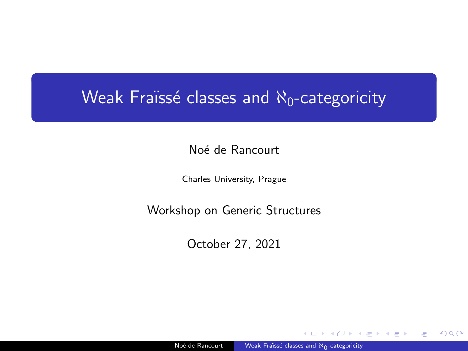# <span id="page-0-0"></span>Weak Fraïssé classes and  $\aleph_0$ -categoricity

Noé de Rancourt

Charles University, Prague

Workshop on Generic Structures

October 27, 2021

Noé de Rancourt Meak Fraïssé classes and  $\aleph_{0}$ -categoricity

ミドマミドー

 $2990$ 

∍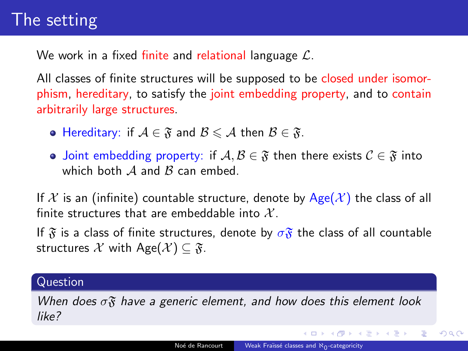# The setting

We work in a fixed finite and relational language  $\mathcal{L}$ .

All classes of finite structures will be supposed to be closed under isomorphism, hereditary, to satisfy the joint embedding property, and to contain arbitrarily large structures.

- Hereditary: if  $A \in \mathfrak{F}$  and  $B \leq A$  then  $B \in \mathfrak{F}$ .
- Joint embedding property: if  $A, B \in \mathfrak{F}$  then there exists  $C \in \mathfrak{F}$  into which both  $A$  and  $B$  can embed.

If X is an (infinite) countable structure, denote by  $Age(\mathcal{X})$  the class of all finite structures that are embeddable into  $\mathcal{X}$ .

If  $\mathfrak F$  is a class of finite structures, denote by  $\sigma \mathfrak F$  the class of all countable structures X with Age $(\mathcal{X}) \subseteq \mathfrak{F}$ .

## Question

When does  $\sigma$  $\mathfrak{F}$  have a generic element, and how does this element look like?

K ロ ▶ K 何 ▶ K ヨ ▶ K ヨ ▶ ...

E

 $2990$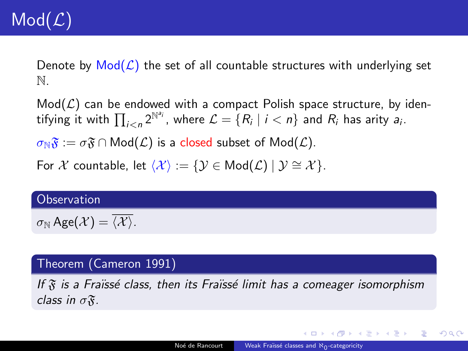Denote by  $Mod(\mathcal{L})$  the set of all countable structures with underlying set N.

 $Mod(L)$  can be endowed with a compact Polish space structure, by identifying it with  $\prod_{i < n} 2^{\mathbb{N}^{a_i}}$ , where  $\mathcal{L} = \{R_i \mid i < n\}$  and  $R_i$  has arity  $a_i$ .

 $\sigma_N\mathfrak{F} := \sigma\mathfrak{F} \cap \mathsf{Mod}(\mathcal{L})$  is a closed subset of  $\mathsf{Mod}(\mathcal{L})$ .

For X countable, let  $\langle X \rangle := \{ \mathcal{Y} \in \mathsf{Mod}(\mathcal{L}) \mid \mathcal{Y} \cong \mathcal{X} \}.$ 

#### **Observation**

 $\sigma_{\mathbb{N}}$  Age $(\mathcal{X}) = \overline{\langle \mathcal{X} \rangle}$ .

## Theorem (Cameron 1991)

If  $\tilde{x}$  is a Fraïssé class, then its Fraïssé limit has a comeager isomorphism class in  $\sigma\mathfrak{F}$ .

KEL KALK KELKELKAN KELK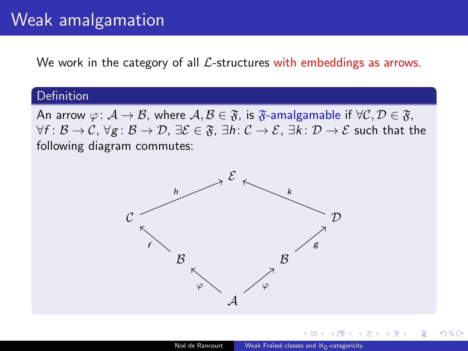# Weak amalgamation

We work in the category of all  $\mathcal{L}$ -structures with embeddings as arrows.

#### Definition

An arrow  $\varphi: A \to B$ , where  $A, B \in \mathfrak{F}$ , is  $\mathfrak{F}$ -amalgamable if  $\forall C, D \in \mathfrak{F}$ ,  $\forall f: \mathcal{B} \to \mathcal{C}, \forall g: \mathcal{B} \to \mathcal{D}, \exists \mathcal{E} \in \mathfrak{F}, \exists h: \mathcal{C} \to \mathcal{E}, \exists k: \mathcal{D} \to \mathcal{E}$  such that the following diagram commutes:



 $209$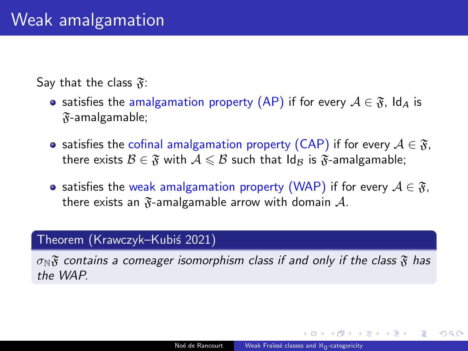Say that the class  $\mathfrak{F}$ :

- satisfies the amalgamation property (AP) if for every  $A \in \mathfrak{F}$ , Id<sub>A</sub> is  $\mathfrak{F}$ -amalgamable;
- satisfies the cofinal amalgamation property (CAP) if for every  $A \in \mathfrak{F}$ , there exists  $\mathcal{B} \in \mathfrak{F}$  with  $\mathcal{A} \leq \mathcal{B}$  such that  $\mathrm{Id}_\mathcal{B}$  is  $\mathfrak{F}$ -amalgamable;
- satisfies the weak amalgamation property (WAP) if for every  $A \in \mathfrak{F}$ , there exists an  $\mathfrak{F}$ -amalgamable arrow with domain  $\mathcal{A}$ .

# Theorem (Krawczyk–Kubiś 2021)

 $\sigma_N\mathfrak{F}$  contains a comeager isomorphism class if and only if the class  $\mathfrak{F}$  has the WAP.

**何 ト ィヨ ト ィヨ ト** 

∍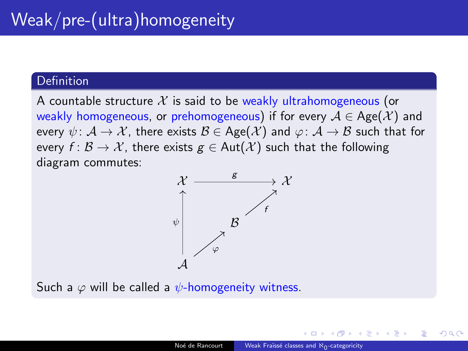A countable structure X is said to be weakly ultrahomogeneous (or weakly homogeneous, or prehomogeneous) if for every  $A \in \text{Age}(\mathcal{X})$  and every  $\psi: \mathcal{A} \to \mathcal{X}$ , there exists  $\mathcal{B} \in \text{Age}(\mathcal{X})$  and  $\varphi: \mathcal{A} \to \mathcal{B}$  such that for every  $f: \mathcal{B} \to \mathcal{X}$ , there exists  $g \in Aut(\mathcal{X})$  such that the following diagram commutes:



Such a  $\varphi$  will be called a  $\psi$ -homogeneity witness.

御 ▶ イ君 ▶ イ君 ▶ ○君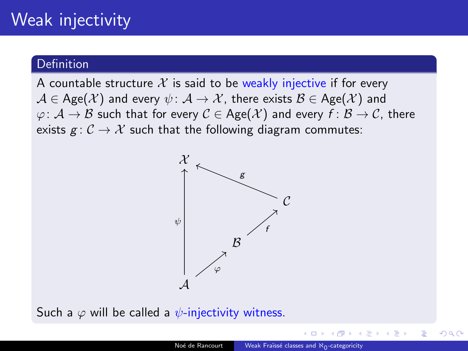# Weak injectivity

## Definition

A countable structure X is said to be weakly injective if for every  $A \in \text{Age}(\mathcal{X})$  and every  $\psi: \mathcal{A} \to \mathcal{X}$ , there exists  $\mathcal{B} \in \text{Age}(\mathcal{X})$  and  $\varphi: \mathcal{A} \to \mathcal{B}$  such that for every  $\mathcal{C} \in \text{Age}(\mathcal{X})$  and every  $f: \mathcal{B} \to \mathcal{C}$ , there exists  $g: \mathcal{C} \to \mathcal{X}$  such that the following diagram commutes:



Such a  $\varphi$  will be called a  $\psi$ -injectivity witness.

化重新润滑脂剂

E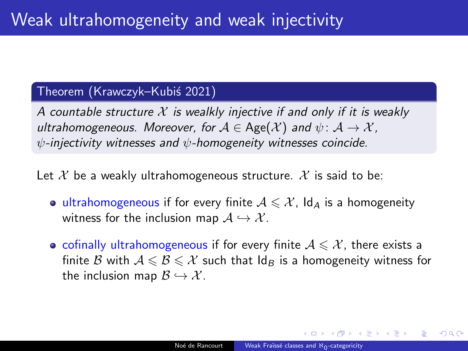## Theorem (Krawczyk–Kubiś 2021)

A countable structure  $\mathcal X$  is wealkly injective if and only if it is weakly ultrahomogeneous. Moreover, for  $A \in \text{Age}(\mathcal{X})$  and  $\psi: \mathcal{A} \to \mathcal{X}$ ,  $\psi$ -injectivity witnesses and  $\psi$ -homogeneity witnesses coincide.

Let X be a weakly ultrahomogeneous structure. X is said to be:

- ultrahomogeneous if for every finite  $A \leq \mathcal{X}$ , Id<sub>A</sub> is a homogeneity witness for the inclusion map  $A \hookrightarrow \mathcal{X}$ .
- cofinally ultrahomogeneous if for every finite  $A \leq \mathcal{X}$ , there exists a finite B with  $A \leq B \leq \mathcal{X}$  such that  $\mathsf{Id}_B$  is a homogeneity witness for the inclusion map  $\mathcal{B} \hookrightarrow \mathcal{X}$ .

 $\mathcal{A} \cap \mathcal{B} \rightarrow \mathcal{A} \subset \mathcal{B} \rightarrow \mathcal{A} \subset \mathcal{B} \rightarrow \mathcal{B}$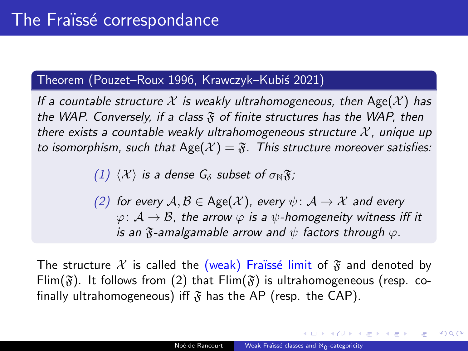# Theorem (Pouzet–Roux 1996, Krawczyk–Kubiś 2021)

If a countable structure X is weakly ultrahomogeneous, then Age $(\mathcal{X})$  has the WAP. Conversely, if a class  $\mathfrak F$  of finite structures has the WAP, then there exists a countable weakly ultrahomogeneous structure  $\mathcal{X}$ , unique up to isomorphism, such that Age( $\mathcal{X}$ ) =  $\mathfrak{F}$ . This structure moreover satisfies:

(1)  $\langle \mathcal{X} \rangle$  is a dense  $G_{\delta}$  subset of  $\sigma_{\mathbb{N}}\mathfrak{F}$ ;

(2) for every  $A, B \in \text{Age}(\mathcal{X})$ , every  $\psi: \mathcal{A} \to \mathcal{X}$  and every  $\varphi: A \to B$ , the arrow  $\varphi$  is a  $\psi$ -homogeneity witness iff it is an  $\mathfrak F$ -amalgamable arrow and  $\psi$  factors through  $\varphi$ .

The structure X is called the (weak) Fraïssé limit of  $\mathfrak F$  and denoted by Flim( $\mathfrak{F}$ ). It follows from (2) that Flim( $\mathfrak{F}$ ) is ultrahomogeneous (resp. cofinally ultrahomogeneous) iff  $\mathfrak F$  has the AP (resp. the CAP).

E KERKERKERKER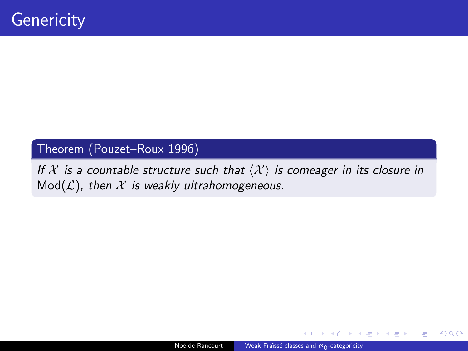# Theorem (Pouzet–Roux 1996)

If X is a countable structure such that  $\langle X \rangle$  is comeager in its closure in  $Mod(L)$ , then  $X$  is weakly ultrahomogeneous.

医头面的头面的人

造

 $2990$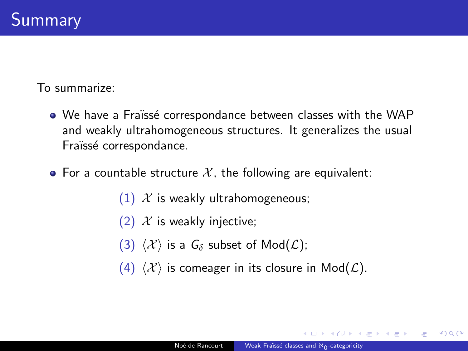To summarize:

- We have a Fraïssé correspondance between classes with the WAP and weakly ultrahomogeneous structures. It generalizes the usual Fraïssé correspondance.
- For a countable structure X, the following are equivalent:
	- (1)  $\mathcal{X}$  is weakly ultrahomogeneous;
	- (2)  $\mathcal X$  is weakly injective;
	- (3)  $\langle \mathcal{X} \rangle$  is a  $G_{\delta}$  subset of Mod( $\mathcal{L}$ );
	- (4)  $\langle \mathcal{X} \rangle$  is comeager in its closure in Mod( $\mathcal{L}$ ).

 $\mathbf{A} \oplus \mathbf{A} \rightarrow \mathbf{A} \oplus \mathbf{A} \rightarrow \mathbf{B} \oplus \mathbf{A}$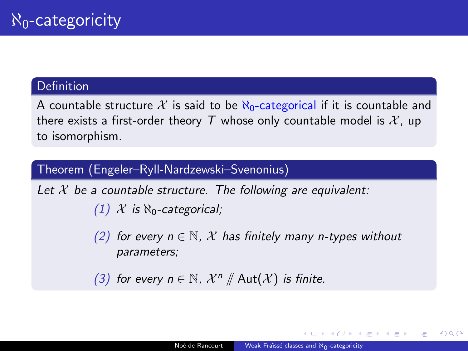<span id="page-11-0"></span>A countable structure X is said to be  $\aleph_0$ -categorical if it is countable and there exists a first-order theory T whose only countable model is  $\mathcal{X}$ , up to isomorphism.

## Theorem (Engeler–Ryll-Nardzewski–Svenonius)

Let  $\mathcal X$  be a countable structure. The following are equivalent:  $(1)$  X is  $\aleph_0$ -categorical;

> (2) for every  $n \in \mathbb{N}$ , X has finitely many n-types without parameters;

(3) for every  $n \in \mathbb{N}$ ,  $\mathcal{X}^n \nparallel \mathsf{Aut}(\mathcal{X})$  is finite.

 $\mathcal{A} \cong \mathcal{B} \times \mathcal{A} \cong \mathcal{B} \times \mathcal{B} \cong \mathcal{B}.$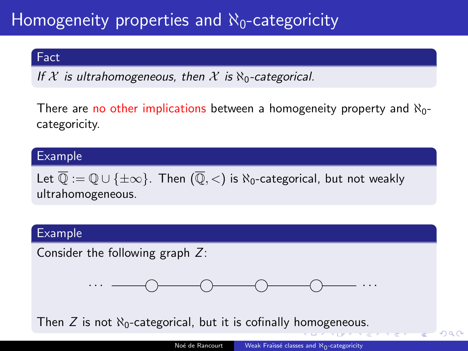# <span id="page-12-0"></span>Homogeneity properties and  $\aleph_0$ -categoricity

### Fact

If X is ultrahomogeneous, then X is  $\aleph_0$ -categorical.

There are no other implications between a homogeneity property and  $\aleph_0$ categoricity.

## Example

Let  $\overline{\mathbb{Q}} := \mathbb{Q} \cup \{\pm \infty\}$ . Then  $(\overline{\mathbb{Q}}, <)$  is  $\aleph_0$ -categorical, but not weakly ultrahomogeneous.

#### Example

Consider the following graph Z:



Th[e](#page-11-0)n  $Z$  is n[o](#page-13-0)t  $\aleph_0$ -categorical, but it is cofinally [hom](#page-11-0)[og](#page-13-0)e[ne](#page-12-0)o[us.](#page-0-0)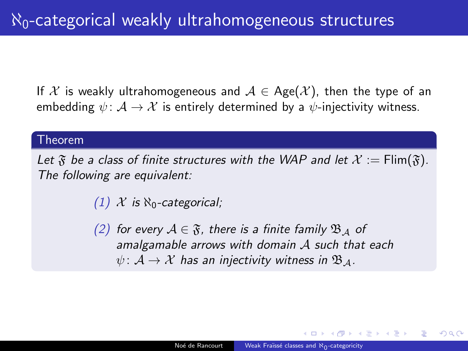<span id="page-13-0"></span>If X is weakly ultrahomogeneous and  $A \in \text{Age}(\mathcal{X})$ , then the type of an embedding  $\psi: \mathcal{A} \to \mathcal{X}$  is entirely determined by a  $\psi$ -injectivity witness.

#### Theorem

Let  $\mathfrak F$  be a class of finite structures with the WAP and let  $\mathcal X := \text{Flim}(\mathfrak F)$ . The following are equivalent:

(1)  $\mathcal{X}$  is  $\aleph_0$ -categorical;

(2) for every  $A \in \mathfrak{F}$ , there is a finite family  $\mathfrak{B}_A$  of amalgamable arrows with domain A such that each  $\psi: \mathcal{A} \to \mathcal{X}$  has an injectivity witness in  $\mathfrak{B}_{\mathcal{A}}$ .

 $\overline{m}$  )  $\rightarrow$   $\exists$  )  $\rightarrow$   $\exists$  )  $\rightarrow$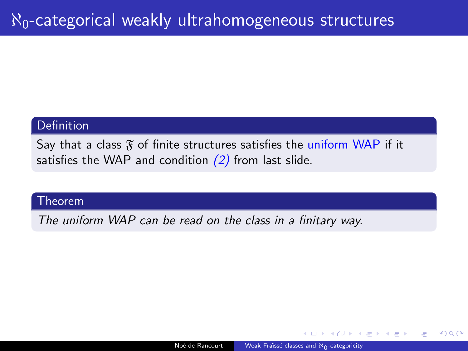Say that a class  $\mathfrak F$  of finite structures satisfies the uniform WAP if it satisfies the WAP and condition  $(2)$  from last slide.

### Theorem

The uniform WAP can be read on the class in a finitary way.

化重新润滑脂剂

∍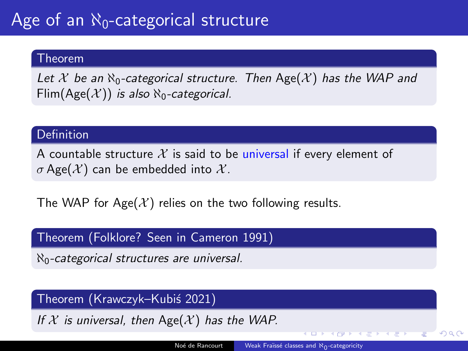### Theorem

Let X be an  $\aleph_0$ -categorical structure. Then Age(X) has the WAP and Flim(Age( $\mathcal{X}$ )) is also  $\aleph_0$ -categorical.

## **Definition**

A countable structure X is said to be universal if every element of σ Age( $X$ ) can be embedded into  $X$ .

The WAP for Age( $\mathcal{X}$ ) relies on the two following results.

## Theorem (Folklore? Seen in Cameron 1991)

 $\aleph_0$ -categorical structures are universal.

## Theorem (Krawczyk–Kubi´s 2021)

If X is universal, then  $Age(X)$  has the WAP.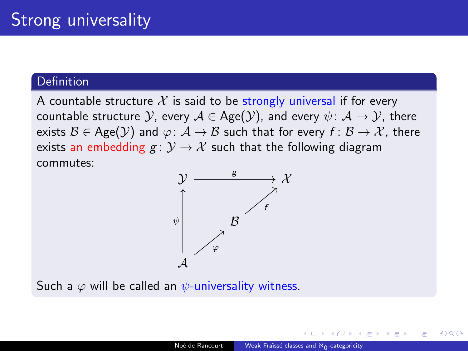A countable structure X is said to be strongly universal if for every countable structure  $\mathcal{Y}$ , every  $\mathcal{A} \in \text{Age}(\mathcal{Y})$ , and every  $\psi \colon \mathcal{A} \to \mathcal{Y}$ , there exists  $\mathcal{B} \in \text{Age}(\mathcal{Y})$  and  $\varphi: \mathcal{A} \to \mathcal{B}$  such that for every  $f: \mathcal{B} \to \mathcal{X}$ , there exists an embedding  $g: \mathcal{Y} \to \mathcal{X}$  such that the following diagram commutes:



Such a  $\varphi$  will be called an  $\psi$ -universality witness.

メモドメモド 港上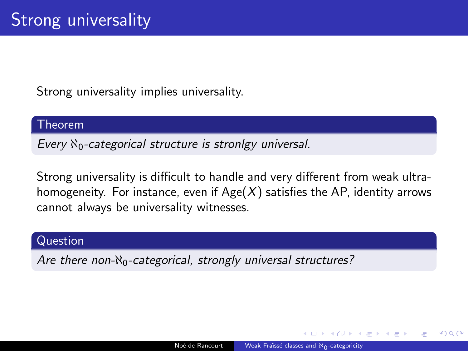Strong universality implies universality.

#### Theorem

Every  $\aleph_0$ -categorical structure is stronlgy universal.

Strong universality is difficult to handle and very different from weak ultrahomogeneity. For instance, even if  $Age(X)$  satisfies the AP, identity arrows cannot always be universality witnesses.

### Question

Are there non- $\aleph_0$ -categorical, strongly universal structures?

イ何 ト イヨ ト イヨ ト

目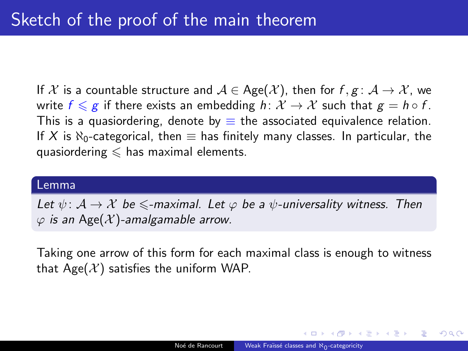If X is a countable structure and  $A \in \text{Age}(\mathcal{X})$ , then for  $f, g: \mathcal{A} \to \mathcal{X}$ , we write  $f \leqslant g$  if there exists an embedding  $h: \mathcal{X} \to \mathcal{X}$  such that  $g = h \circ f$ . This is a quasiordering, denote by  $\equiv$  the associated equivalence relation. If X is  $\aleph_0$ -categorical, then  $\equiv$  has finitely many classes. In particular, the quasiordering  $\leq$  has maximal elements.

#### Lemma

Let  $\psi: \mathcal{A} \to \mathcal{X}$  be  $\leq$ -maximal. Let  $\varphi$  be a  $\psi$ -universality witness. Then  $\varphi$  is an Age(X)-amalgamable arrow.

Taking one arrow of this form for each maximal class is enough to witness that  $Age(X)$  satisfies the uniform WAP.

イ何 トイヨ トイヨ トーヨー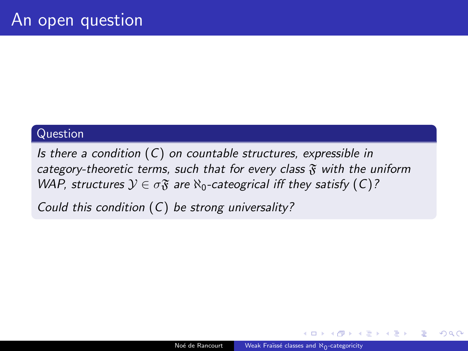## Question

Is there a condition  $(C)$  on countable structures, expressible in category-theoretic terms, such that for every class  $\mathfrak F$  with the uniform WAP, structures  $\mathcal{Y} \in \sigma \mathfrak{F}$  are  $\aleph_0$ -cateogrical iff they satisfy  $(C)$ ?

Could this condition  $(C)$  be strong universality?

化重变 化重变性

目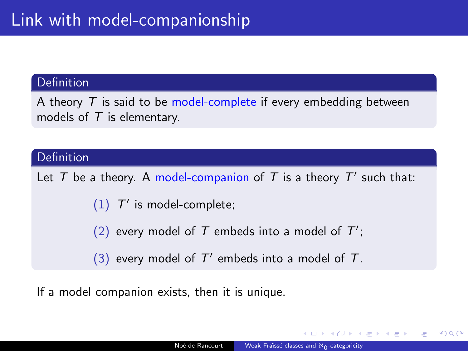A theory  $T$  is said to be model-complete if every embedding between models of  $T$  is elementary.

### Definition

Let T be a theory. A model-companion of T is a theory  $T'$  such that:

 $(1)$   $T'$  is model-complete;

- (2) every model of T embeds into a model of  $T'$ ;
- (3) every model of  $T'$  embeds into a model of  $T$ .

If a model companion exists, then it is unique.

 $\overline{AB}$   $\rightarrow$   $\overline{AB}$   $\rightarrow$   $\overline{AB}$   $\rightarrow$   $\overline{BA}$   $\rightarrow$   $\overline{BA}$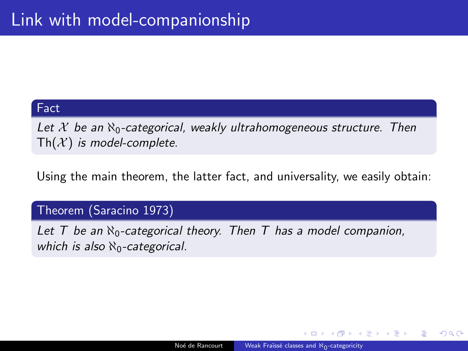### Fact

Let X be an  $\aleph_0$ -categorical, weakly ultrahomogeneous structure. Then  $\mathsf{Th}(\mathcal{X})$  is model-complete.

Using the main theorem, the latter fact, and universality, we easily obtain:

## Theorem (Saracino 1973)

Let T be an  $\aleph_0$ -categorical theory. Then T has a model companion, which is also  $\aleph_0$ -categorical.

化重新 化重新

Ε

 $209$